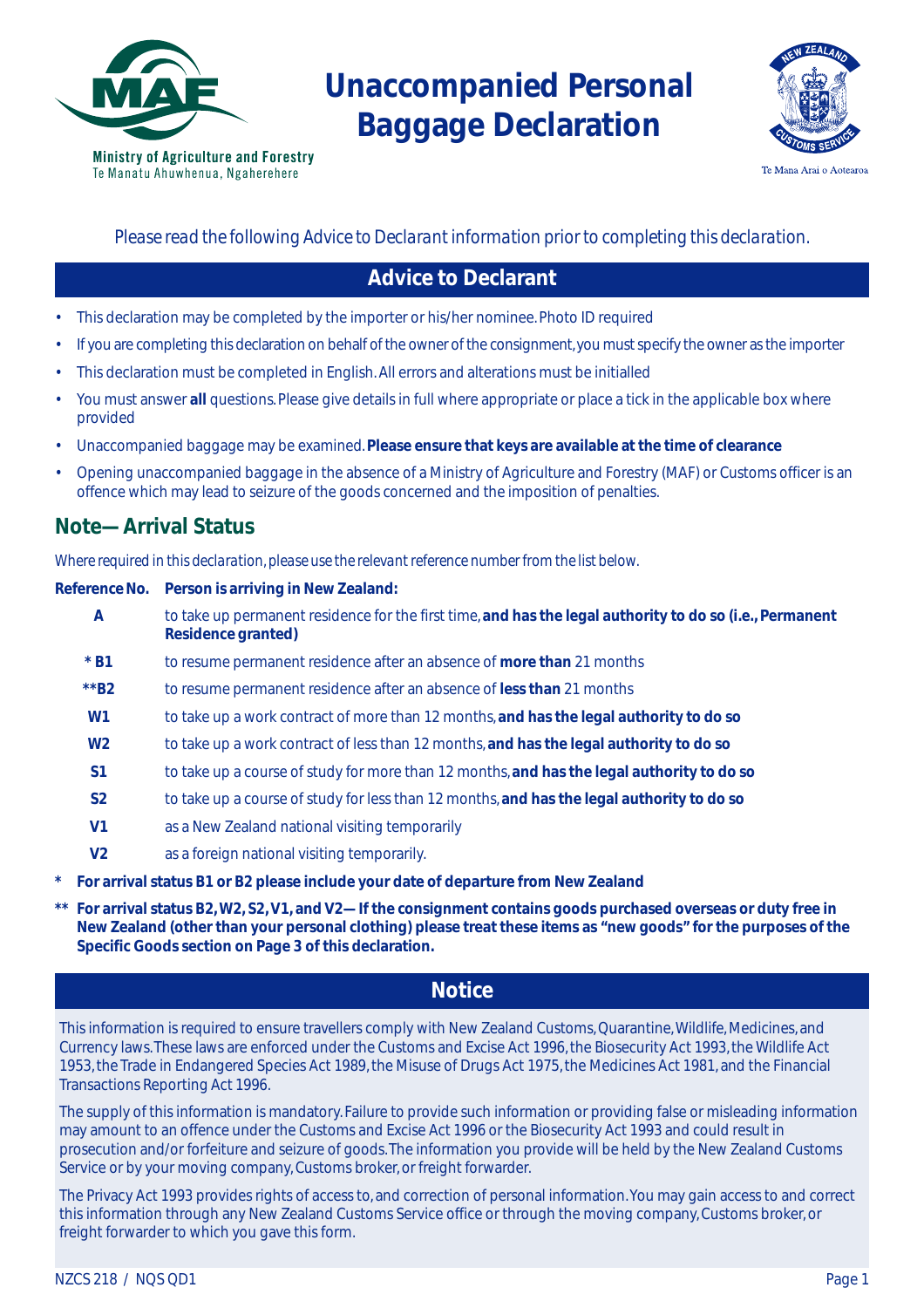

# **Unaccompanied Personal Baggage Declaration**



Te Mana Arai o Aotearoa

#### *Please read the following Advice to Declarant information prior to completing this declaration.*

#### **Advice to Declarant**

- This declaration may be completed by the importer or his/her nominee. Photo ID required
- If you are completing this declaration on behalf of the owner of the consignment, you must specify the owner as the importer
- This declaration must be completed in English. All errors and alterations must be initialled
- You must answer **all** questions. Please give details in full where appropriate or place a tick in the applicable box where provided
- Unaccompanied baggage may be examined. **Please ensure that keys are available at the time of clearance**
- Opening unaccompanied baggage in the absence of a Ministry of Agriculture and Forestry (MAF) or Customs officer is an offence which may lead to seizure of the goods concerned and the imposition of penalties.

#### **Note—Arrival Status**

*Where required in this declaration, please use the relevant reference number from the list below.*

#### **Reference No. Person is arriving in New Zealand:**

- **A** to take up permanent residence for the first time, **and has the legal authority to do so (i.e., Permanent Residence granted)**
- **\* B1** to resume permanent residence after an absence of **more than** 21 months
- **\*\*B2** to resume permanent residence after an absence of **less than** 21 months
- **W1** to take up a work contract of more than 12 months, **and has the legal authority to do so**
- **W2** to take up a work contract of less than 12 months, **and has the legal authority to do so**
- **S1** to take up a course of study for more than 12 months, **and has the legal authority to do so**
- **S2** to take up a course of study for less than 12 months, **and has the legal authority to do so**
- **V1** as a New Zealand national visiting temporarily
- **V2** as a foreign national visiting temporarily.
- **\* For arrival status B1 or B2 please include your date of departure from New Zealand**
- **\*\* For arrival status B2, W2, S2, V1, and V2—If the consignment contains goods purchased overseas or duty free in New Zealand (other than your personal clothing) please treat these items as "new goods" for the purposes of the Specific Goods section on Page 3 of this declaration.**

#### **Notice**

This information is required to ensure travellers comply with New Zealand Customs, Quarantine, Wildlife, Medicines, and Currency laws. These laws are enforced under the Customs and Excise Act 1996, the Biosecurity Act 1993, the Wildlife Act 1953, the Trade in Endangered Species Act 1989, the Misuse of Drugs Act 1975, the Medicines Act 1981, and the Financial Transactions Reporting Act 1996.

The supply of this information is mandatory. Failure to provide such information or providing false or misleading information may amount to an offence under the Customs and Excise Act 1996 or the Biosecurity Act 1993 and could result in prosecution and/or forfeiture and seizure of goods. The information you provide will be held by the New Zealand Customs Service or by your moving company, Customs broker, or freight forwarder.

The Privacy Act 1993 provides rights of access to, and correction of personal information. You may gain access to and correct this information through any New Zealand Customs Service office or through the moving company, Customs broker, or freight forwarder to which you gave this form.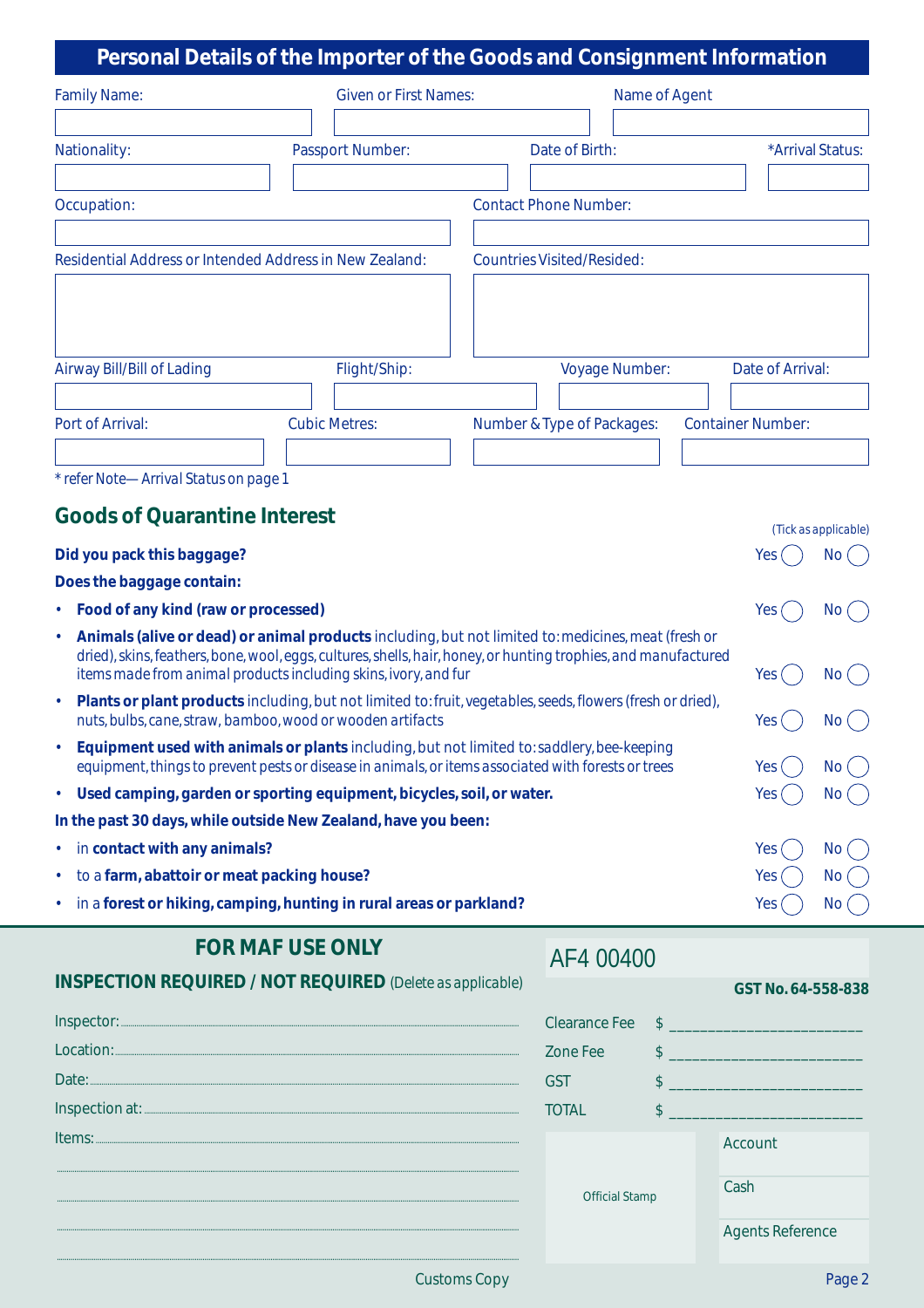## **Personal Details of the Importer of the Goods and Consignment Information**

|                                                                |                                                                       | Crootial Details of the importer of the Ooods and consignment imormation                                        |                                    |
|----------------------------------------------------------------|-----------------------------------------------------------------------|-----------------------------------------------------------------------------------------------------------------|------------------------------------|
| <b>Family Name:</b>                                            | <b>Given or First Names:</b>                                          | Name of Agent                                                                                                   |                                    |
|                                                                |                                                                       |                                                                                                                 |                                    |
| Nationality:                                                   | Passport Number:                                                      | Date of Birth:                                                                                                  | *Arrival Status:                   |
|                                                                |                                                                       |                                                                                                                 |                                    |
| Occupation:                                                    |                                                                       | <b>Contact Phone Number:</b>                                                                                    |                                    |
|                                                                |                                                                       |                                                                                                                 |                                    |
| Residential Address or Intended Address in New Zealand:        |                                                                       | <b>Countries Visited/Resided:</b>                                                                               |                                    |
|                                                                |                                                                       |                                                                                                                 |                                    |
|                                                                |                                                                       |                                                                                                                 |                                    |
|                                                                |                                                                       |                                                                                                                 |                                    |
| Airway Bill/Bill of Lading                                     | Flight/Ship:                                                          | Voyage Number:                                                                                                  | Date of Arrival:                   |
|                                                                |                                                                       |                                                                                                                 |                                    |
| Port of Arrival:                                               | <b>Cubic Metres:</b>                                                  | Number & Type of Packages:                                                                                      | <b>Container Number:</b>           |
|                                                                |                                                                       |                                                                                                                 |                                    |
| * refer Note-Arrival Status on page 1                          |                                                                       |                                                                                                                 |                                    |
| <b>Goods of Quarantine Interest</b>                            |                                                                       |                                                                                                                 |                                    |
| Did you pack this baggage?                                     |                                                                       |                                                                                                                 | (Tick as applicable)<br>Yes<br>No( |
| Does the baggage contain:                                      |                                                                       |                                                                                                                 |                                    |
| Food of any kind (raw or processed)                            |                                                                       |                                                                                                                 | Yes<br>No(                         |
| $\bullet$                                                      |                                                                       | Animals (alive or dead) or animal products including, but not limited to: medicines, meat (fresh or             |                                    |
|                                                                |                                                                       | dried), skins, feathers, bone, wool, eggs, cultures, shells, hair, honey, or hunting trophies, and manufactured |                                    |
|                                                                | items made from animal products including skins, ivory, and fur       |                                                                                                                 | No (<br>Yes                        |
| $\bullet$                                                      | nuts, bulbs, cane, straw, bamboo, wood or wooden artifacts            | Plants or plant products including, but not limited to: fruit, vegetables, seeds, flowers (fresh or dried),     | Yes<br>No.                         |
|                                                                |                                                                       | Equipment used with animals or plants including, but not limited to: saddlery, bee-keeping                      |                                    |
|                                                                |                                                                       | equipment, things to prevent pests or disease in animals, or items associated with forests or trees             | Yes (<br>No (                      |
| ٠                                                              | Used camping, garden or sporting equipment, bicycles, soil, or water. |                                                                                                                 | Yes<br>No(                         |
| In the past 30 days, while outside New Zealand, have you been: |                                                                       |                                                                                                                 |                                    |
| in contact with any animals?<br>٠                              |                                                                       |                                                                                                                 | Yes<br>No <sub>1</sub>             |
| to a farm, abattoir or meat packing house?<br>٠                |                                                                       |                                                                                                                 | Yes (<br>No <sub>1</sub>           |
|                                                                | in a forest or hiking, camping, hunting in rural areas or parkland?   |                                                                                                                 | Yes $($<br>No(                     |

### **FOR MAF USE ONLY**

### AF4 00400

| <b>INSPECTION REQUIRED / NOT REQUIRED</b> (Delete as applicable) |                       |  | GST No. 64-558-838      |
|------------------------------------------------------------------|-----------------------|--|-------------------------|
| Inspector:                                                       | Clearance Fee         |  |                         |
| $\underbrace{\textbf{Local} 1\textbf{0}\textbf{0}\textbf{1}}$    | Zone Fee              |  |                         |
| Date:                                                            | GST                   |  |                         |
|                                                                  | <b>TOTAL</b>          |  |                         |
| Items:                                                           | <b>Official Stamp</b> |  | Account                 |
|                                                                  |                       |  |                         |
|                                                                  |                       |  | Cash                    |
|                                                                  |                       |  | <b>Agents Reference</b> |
|                                                                  |                       |  |                         |

Customs Copy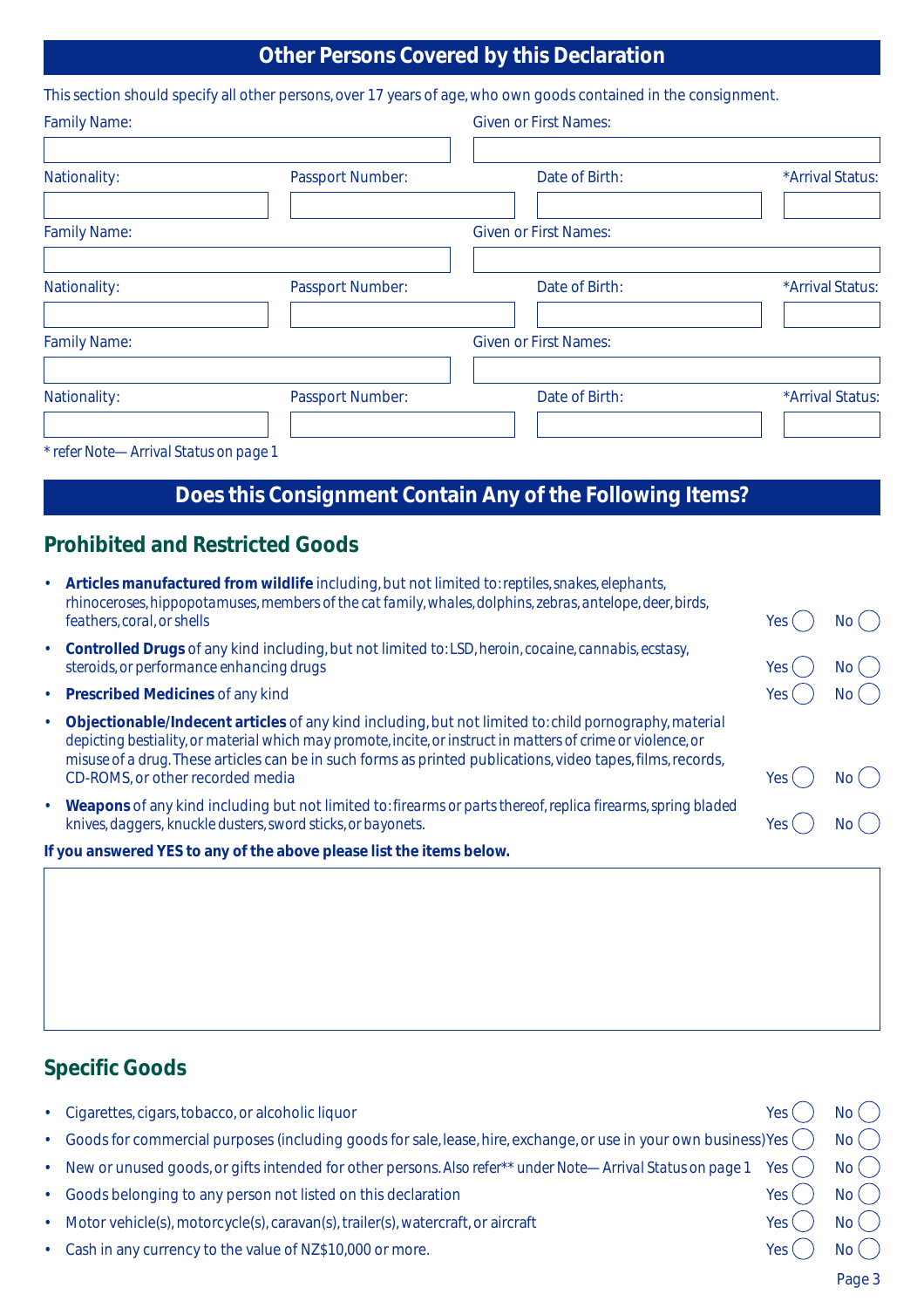# **Other Persons Covered by this Declaration**

|                                                                                                                 |                         | This section should specify all other persons, over 17 years of age, who own goods contained in the consignment. |                  |  |  |
|-----------------------------------------------------------------------------------------------------------------|-------------------------|------------------------------------------------------------------------------------------------------------------|------------------|--|--|
| <b>Family Name:</b>                                                                                             |                         | <b>Given or First Names:</b>                                                                                     |                  |  |  |
| Nationality:                                                                                                    | <b>Passport Number:</b> | Date of Birth:                                                                                                   | *Arrival Status: |  |  |
| <b>Family Name:</b>                                                                                             |                         | <b>Given or First Names:</b>                                                                                     |                  |  |  |
| Nationality:                                                                                                    | <b>Passport Number:</b> | Date of Birth:                                                                                                   | *Arrival Status: |  |  |
| <b>Family Name:</b>                                                                                             |                         | <b>Given or First Names:</b>                                                                                     |                  |  |  |
| Nationality:                                                                                                    | <b>Passport Number:</b> | Date of Birth:                                                                                                   | *Arrival Status: |  |  |
| $\star$ as faithful and $\star$ and $\star$ and $\star$ $\star$ and $\star$ and $\star$ and $\star$ and $\star$ |                         |                                                                                                                  |                  |  |  |

#### *\* refer Note—Arrival Status on page 1*

# **Does this Consignment Contain Any of the Following Items?**

#### **Prohibited and Restricted Goods**

| ٠         | Articles manufactured from wildlife including, but not limited to: reptiles, snakes, elephants,<br>rhinoceroses, hippopotamuses, members of the cat family, whales, dolphins, zebras, antelope, deer, birds,<br>feathers, coral, or shells                                                                                            | Yes  |        |
|-----------|---------------------------------------------------------------------------------------------------------------------------------------------------------------------------------------------------------------------------------------------------------------------------------------------------------------------------------------|------|--------|
|           | • Controlled Drugs of any kind including, but not limited to: LSD, heroin, cocaine, cannabis, ecstasy,<br>steroids, or performance enhancing drugs                                                                                                                                                                                    | Yes. | NO (Co |
|           | • Prescribed Medicines of any kind                                                                                                                                                                                                                                                                                                    | Yes  |        |
| $\bullet$ | Objectionable/Indecent articles of any kind including, but not limited to: child pornography, material<br>depicting bestiality, or material which may promote, incite, or instruct in matters of crime or violence, or<br>misuse of a drug. These articles can be in such forms as printed publications, video tapes, films, records, |      |        |
|           | CD-ROMS, or other recorded media                                                                                                                                                                                                                                                                                                      | Yes  |        |
| $\bullet$ | Weapons of any kind including but not limited to: firearms or parts thereof, replica firearms, spring bladed<br>knives, daggers, knuckle dusters, sword sticks, or bayonets.                                                                                                                                                          | Yes  |        |

**If you answered YES to any of the above please list the items below.**

# **Specific Goods**

|           | · Cigarettes, cigars, tobacco, or alcoholic liquor                                                                           | Yes (Fig. | No(  |
|-----------|------------------------------------------------------------------------------------------------------------------------------|-----------|------|
|           | • Goods for commercial purposes (including goods for sale, lease, hire, exchange, or use in your own business)Yes ( $\,$ $)$ |           | No(  |
| $\bullet$ | New or unused goods, or gifts intended for other persons. Also refer** under Note—Arrival Status on page 1 Yes $($ $)$       |           | No(  |
|           | • Goods belonging to any person not listed on this declaration                                                               | Yes (     | No() |
|           | Motor vehicle(s), motorcycle(s), caravan(s), trailer(s), watercraft, or aircraft                                             | Yes (     | No() |
|           | Cash in any currency to the value of NZ\$10,000 or more.                                                                     | Yes (     | No(  |
|           |                                                                                                                              |           |      |

Page 3